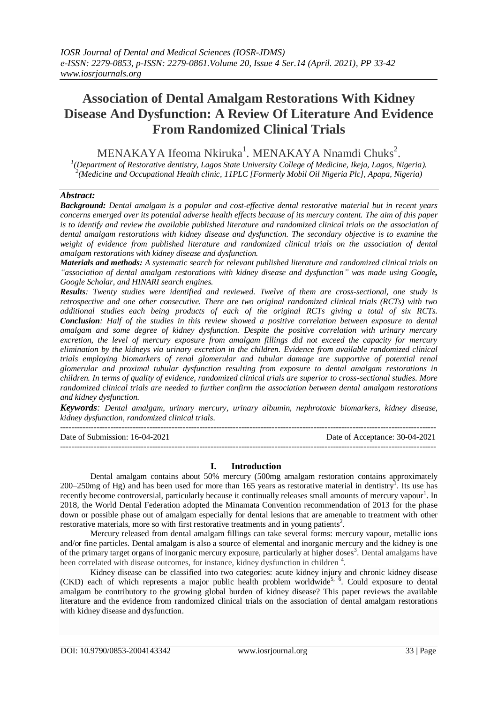# **Association of Dental Amalgam Restorations With Kidney Disease And Dysfunction: A Review Of Literature And Evidence From Randomized Clinical Trials**

 $MENAKAYA$  Ifeoma Nkiruka<sup>1</sup>. MENAKAYA Nnamdi Chuks<sup>2</sup>.

*1 (Department of Restorative dentistry, Lagos State University College of Medicine, Ikeja, Lagos, Nigeria). 2 (Medicine and Occupational Health clinic, 11PLC [Formerly Mobil Oil Nigeria Plc], Apapa, Nigeria)*

# *Abstract:*

*Background: Dental amalgam is a popular and cost-effective dental restorative material but in recent years concerns emerged over its potential adverse health effects because of its mercury content. The aim of this paper is to identify and review the available published literature and randomized clinical trials on the association of dental amalgam restorations with kidney disease and dysfunction. The secondary objective is to examine the weight of evidence from published literature and randomized clinical trials on the association of dental amalgam restorations with kidney disease and dysfunction.* 

*Materials and methods: A systematic search for relevant published literature and randomized clinical trials on "association of dental amalgam restorations with kidney disease and dysfunction" was made using Google, Google Scholar, and HINARI search engines.*

*Results: Twenty studies were identified and reviewed. Twelve of them are cross-sectional, one study is retrospective and one other consecutive. There are two original randomized clinical trials (RCTs) with two additional studies each being products of each of the original RCTs giving a total of six RCTs. Conclusion: Half of the studies in this review showed a positive correlation between exposure to dental amalgam and some degree of kidney dysfunction. Despite the positive correlation with urinary mercury excretion, the level of mercury exposure from amalgam fillings did not exceed the capacity for mercury elimination by the kidneys via urinary excretion in the children. Evidence from available randomized clinical trials employing biomarkers of renal glomerular and tubular damage are supportive of potential renal glomerular and proximal tubular dysfunction resulting from exposure to dental amalgam restorations in children. In terms of quality of evidence, randomized clinical trials are superior to cross-sectional studies. More randomized clinical trials are needed to further confirm the association between dental amalgam restorations and kidney dysfunction.*

*Keywords: Dental amalgam, urinary mercury, urinary albumin, nephrotoxic biomarkers, kidney disease, kidney dysfunction, randomized clinical trials.*

--------------------------------------------------------------------------------------------------------------------------------------- Date of Submission: 16-04-2021 Date of Acceptance: 30-04-2021  $-1-\frac{1}{2}$ 

## **I. Introduction**

Dental amalgam contains about 50% mercury (500mg amalgam restoration contains approximately 200–250mg of Hg) and has been used for more than 165 years as restorative material in dentistry<sup>1</sup>. Its use has recently become controversial, particularly because it continually releases small amounts of mercury vapour<sup>1</sup>. In 2018, the World Dental Federation adopted the Minamata Convention recommendation of 2013 for the phase down or possible phase out of amalgam especially for dental lesions that are amenable to treatment with other restorative materials, more so with first restorative treatments and in young patients<sup>2</sup>.

Mercury released from dental amalgam fillings can take several forms: mercury vapour, metallic ions and/or fine particles. Dental amalgam is also a source of elemental and inorganic mercury and the kidney is one of the primary target organs of inorganic mercury exposure, particularly at higher doses<sup>3</sup>. Dental amalgams have been correlated with disease outcomes, for instance, kidney dysfunction in children<sup>4</sup>.

Kidney disease can be classified into two categories: acute kidney injury and chronic kidney disease  $(CKD)$  each of which represents a major public health problem worldwide<sup>5, 6</sup>. Could exposure to dental amalgam be contributory to the growing global burden of kidney disease? This paper reviews the available literature and the evidence from randomized clinical trials on the association of dental amalgam restorations with kidney disease and dysfunction.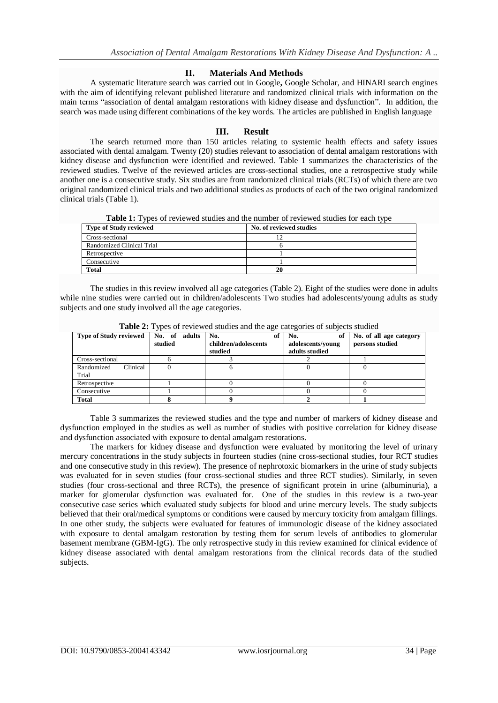## **II. Materials And Methods**

A systematic literature search was carried out in Google**,** Google Scholar, and HINARI search engines with the aim of identifying relevant published literature and randomized clinical trials with information on the main terms "association of dental amalgam restorations with kidney disease and dysfunction". In addition, the search was made using different combinations of the key words. The articles are published in English language

# **III. Result**

The search returned more than 150 articles relating to systemic health effects and safety issues associated with dental amalgam. Twenty (20) studies relevant to association of dental amalgam restorations with kidney disease and dysfunction were identified and reviewed. Table 1 summarizes the characteristics of the reviewed studies. Twelve of the reviewed articles are cross-sectional studies, one a retrospective study while another one is a consecutive study. Six studies are from randomized clinical trials (RCTs) of which there are two original randomized clinical trials and two additional studies as products of each of the two original randomized clinical trials (Table 1).

**Table 1:** Types of reviewed studies and the number of reviewed studies for each type

| Type of Study reviewed    | No. of reviewed studies |
|---------------------------|-------------------------|
| Cross-sectional           |                         |
| Randomized Clinical Trial |                         |
| Retrospective             |                         |
| Consecutive               |                         |
| <b>Total</b>              | 20                      |

The studies in this review involved all age categories (Table 2). Eight of the studies were done in adults while nine studies were carried out in children/adolescents Two studies had adolescents/young adults as study subjects and one study involved all the age categories.

| <b>Type of Study reviewed</b> | No. of adults<br>studied | No.<br>of<br>children/adolescents | No.<br>of<br>adolescents/voung | No. of all age category<br>persons studied |
|-------------------------------|--------------------------|-----------------------------------|--------------------------------|--------------------------------------------|
|                               |                          | studied                           | adults studied                 |                                            |
| Cross-sectional               |                          |                                   |                                |                                            |
| Clinical<br>Randomized        |                          |                                   |                                |                                            |
| Trial                         |                          |                                   |                                |                                            |
| Retrospective                 |                          |                                   |                                |                                            |
| Consecutive                   |                          |                                   |                                |                                            |
| Total                         |                          |                                   |                                |                                            |

**Table 2:** Types of reviewed studies and the age categories of subjects studied

Table 3 summarizes the reviewed studies and the type and number of markers of kidney disease and dysfunction employed in the studies as well as number of studies with positive correlation for kidney disease and dysfunction associated with exposure to dental amalgam restorations.

The markers for kidney disease and dysfunction were evaluated by monitoring the level of urinary mercury concentrations in the study subjects in fourteen studies (nine cross-sectional studies, four RCT studies and one consecutive study in this review). The presence of nephrotoxic biomarkers in the urine of study subjects was evaluated for in seven studies (four cross-sectional studies and three RCT studies). Similarly, in seven studies (four cross-sectional and three RCTs), the presence of significant protein in urine (albuminuria), a marker for glomerular dysfunction was evaluated for. One of the studies in this review is a two-year consecutive case series which evaluated study subjects for blood and urine mercury levels. The study subjects believed that their oral/medical symptoms or conditions were caused by mercury toxicity from amalgam fillings. In one other study, the subjects were evaluated for features of immunologic disease of the kidney associated with exposure to dental amalgam restoration by testing them for serum levels of antibodies to glomerular basement membrane (GBM-IgG). The only retrospective study in this review examined for clinical evidence of kidney disease associated with dental amalgam restorations from the clinical records data of the studied subjects.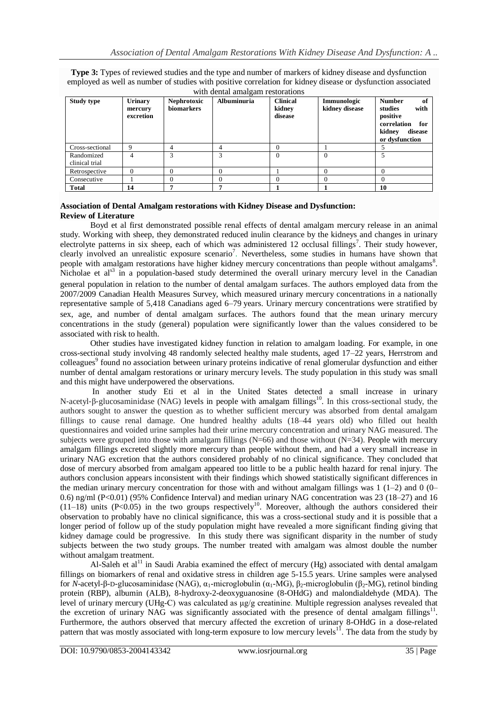**Type 3:** Types of reviewed studies and the type and number of markers of kidney disease and dysfunction employed as well as number of studies with positive correlation for kidney disease or dysfunction associated with dental amalgam restorations

| <b>Study type</b>            | <b>Urinary</b><br>mercury<br>excretion | Nephrotoxic<br>biomarkers | <b>Albuminuria</b> | <b>Clinical</b><br>kidnev<br>disease | Immunologic<br>kidney disease | <b>Number</b><br>of<br>with<br>studies<br>positive<br>correlation<br>for<br>kidnev<br>disease<br>or dysfunction |
|------------------------------|----------------------------------------|---------------------------|--------------------|--------------------------------------|-------------------------------|-----------------------------------------------------------------------------------------------------------------|
| Cross-sectional              |                                        |                           |                    |                                      |                               |                                                                                                                 |
| Randomized<br>clinical trial |                                        | ς                         | 3                  | $\Omega$                             |                               |                                                                                                                 |
| Retrospective                | 0                                      | D                         |                    |                                      |                               |                                                                                                                 |
| Consecutive                  |                                        | D                         |                    | $\theta$                             |                               |                                                                                                                 |
| <b>Total</b>                 | 14                                     |                           |                    |                                      |                               | 10                                                                                                              |

#### **Association of Dental Amalgam restorations with Kidney Disease and Dysfunction: Review of Literature**

Boyd et al first demonstrated possible renal effects of dental amalgam mercury release in an animal study. Working with sheep, they demonstrated reduced inulin clearance by the kidneys and changes in urinary electrolyte patterns in six sheep, each of which was administered 12 occlusal fillings<sup>7</sup>. Their study however, clearly involved an unrealistic exposure scenario<sup>7</sup>. Nevertheless, some studies in humans have shown that people with amalgam restorations have higher kidney mercury concentrations than people without amalgams<sup>8</sup>. Nicholae et als<sup>3</sup> in a population-based study determined the overall urinary mercury level in the Canadian general population in relation to the number of dental amalgam surfaces. The authors employed data from the 2007/2009 Canadian Health Measures Survey, which measured urinary mercury concentrations in a nationally representative sample of 5,418 Canadians aged 6–79 years. Urinary mercury concentrations were stratified by sex, age, and number of dental amalgam surfaces. The authors found that the mean urinary mercury concentrations in the study (general) population were significantly lower than the values considered to be associated with risk to health.

Other studies have investigated kidney function in relation to amalgam loading. For example, in one cross-sectional study involving 48 randomly selected healthy male students, aged 17–22 years, Herrstrom and colleagues<sup>9</sup> found no association between urinary proteins indicative of renal glomerular dysfunction and either number of dental amalgam restorations or urinary mercury levels. The study population in this study was small and this might have underpowered the observations.

In another study Eti et al in the United States detected a small increase in urinary N-acetyl-β-glucosaminidase (NAG) levels in people with amalgam fillings<sup>10</sup>. In this cross-sectional study, the authors sought to answer the question as to whether sufficient mercury was absorbed from dental amalgam fillings to cause renal damage. One hundred healthy adults (18–44 years old) who filled out health questionnaires and voided urine samples had their urine mercury concentration and urinary NAG measured. The subjects were grouped into those with amalgam fillings  $(N=66)$  and those without  $(N=34)$ . People with mercury amalgam fillings excreted slightly more mercury than people without them, and had a very small increase in urinary NAG excretion that the authors considered probably of no clinical significance. They concluded that dose of mercury absorbed from amalgam appeared too little to be a public health hazard for renal injury. The authors conclusion appears inconsistent with their findings which showed statistically significant differences in the median urinary mercury concentration for those with and without amalgam fillings was  $1(1-2)$  and  $0(0-$ 0.6) ng/ml (P<0.01) (95% Confidence Interval) and median urinary NAG concentration was 23 (18–27) and 16  $(11-18)$  units (P<0.05) in the two groups respectively<sup>10</sup>. Moreover, although the authors considered their observation to probably have no clinical significance, this was a cross-sectional study and it is possible that a longer period of follow up of the study population might have revealed a more significant finding giving that kidney damage could be progressive. In this study there was significant disparity in the number of study subjects between the two study groups. The number treated with amalgam was almost double the number without amalgam treatment.

Al-Saleh et al<sup>11</sup> in Saudi Arabia examined the effect of mercury (Hg) associated with dental amalgam fillings on biomarkers of renal and oxidative stress in children age 5-15.5 years. Urine samples were analysed for *N*-acetyl-β-D-glucosaminidase (NAG), α<sub>1</sub>-microglobulin (α<sub>1</sub>-MG), β<sub>2</sub>-microglobulin (β<sub>2</sub>-MG), retinol binding protein (RBP), albumin (ALB), 8-hydroxy-2-deoxyguanosine (8-OHdG) and malondialdehyde (MDA). The level of urinary mercury (UHg-C) was calculated as μg/g creatinine. Multiple regression analyses revealed that the excretion of urinary NAG was significantly associated with the presence of dental amalgam fillings<sup>11</sup>. Furthermore, the authors observed that mercury affected the excretion of urinary 8-OHdG in a dose-related pattern that was mostly associated with long-term exposure to low mercury levels<sup>11</sup>. The data from the study by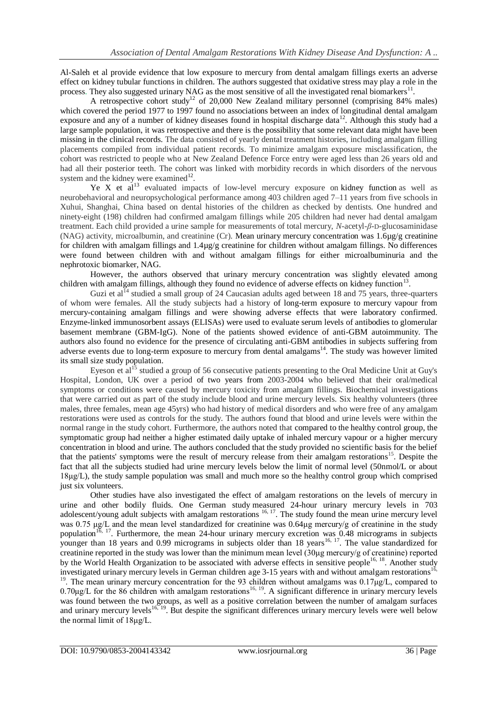Al-Saleh et al provide evidence that low exposure to mercury from dental amalgam fillings exerts an adverse effect on kidney tubular functions in children. The authors suggested that oxidative stress may play a role in the process. They also suggested urinary NAG as the most sensitive of all the investigated renal biomarkers $^{11}$ .

A retrospective cohort study<sup>12</sup> of 20,000 New Zealand military personnel (comprising 84% males) which covered the period 1977 to 1997 found no associations between an index of longitudinal dental amalgam exposure and any of a number of kidney diseases found in hospital discharge data<sup>12</sup>. Although this study had a large sample population, it was retrospective and there is the possibility that some relevant data might have been missing in the clinical records. The data consisted of yearly dental treatment histories, including amalgam filling placements compiled from individual patient records. To minimize amalgam exposure misclassification, the cohort was restricted to people who at New Zealand Defence Force entry were aged less than 26 years old and had all their posterior teeth. The cohort was linked with morbidity records in which disorders of the nervous system and the kidney were examined<sup>12</sup>.

Ye X et  $aI^{13}$  evaluated impacts of low-level mercury exposure on [kidney function](https://www.sciencedirect.com/topics/earth-and-planetary-sciences/renal-function) as well as neurobehavioral and neuropsychological performance among 403 children aged 7–11 years from five schools in Xuhui, Shanghai, China based on dental histories of the children as checked by dentists. One hundred and ninety-eight (198) children had confirmed amalgam fillings while 205 children had never had dental amalgam treatment. Each child provided a urine sample for measurements of total mercury, *N*-acetyl-*β*-D-glucosaminidase (NAG) activity, microalbumin, and creatinine (Cr). Mean urinary mercury concentration was 1.6µg/g creatinine for children with amalgam fillings and 1.4µg/g creatinine for children without amalgam fillings. No differences were found between children with and without amalgam fillings for either microalbuminuria and the nephrotoxic biomarker, NAG.

However, the authors observed that urinary mercury concentration was slightly elevated among children with amalgam fillings, although they found no evidence of adverse effects on kidney function<sup>13</sup>.

Guzi et al<sup>14</sup> studied a small group of 24 Caucasian adults aged between 18 and 75 years, three-quarters of whom were females. All the study subjects had a history of long-term exposure to mercury vapour from mercury-containing amalgam fillings and were showing adverse effects that were laboratory confirmed. Enzyme-linked immunosorbent assays (ELISAs) were used to evaluate serum levels of antibodies to glomerular basement membrane (GBM-IgG). None of the patients showed evidence of anti-GBM autoimmunity. The authors also found no evidence for the presence of circulating anti-GBM antibodies in subjects suffering from adverse events due to long-term exposure to mercury from dental amalgams<sup>14</sup>. The study was however limited its small size study population.

Eyeson et al<sup>15</sup> studied a group of 56 consecutive patients presenting to the Oral Medicine Unit at Guy's Hospital, London, UK over a period of two years from 2003-2004 who believed that their oral/medical symptoms or conditions were caused by mercury toxicity from amalgam fillings. Biochemical investigations that were carried out as part of the study include blood and urine mercury levels. Six healthy volunteers (three males, three females, mean age 45yrs) who had history of medical disorders and who were free of any amalgam restorations were used as controls for the study. The authors found that blood and urine levels were within the normal range in the study cohort. Furthermore, the authors noted that compared to the healthy control group, the symptomatic group had neither a higher estimated daily uptake of inhaled mercury vapour or a higher mercury concentration in blood and urine. The authors concluded that the study provided no scientific basis for the belief that the patients' symptoms were the result of mercury release from their amalgam restorations<sup>15</sup>. Despite the fact that all the subjects studied had urine mercury levels below the limit of normal level (50nmol/L or about 18μg/L), the study sample population was small and much more so the healthy control group which comprised just six volunteers.

Other studies have also investigated the effect of amalgam restorations on the levels of mercury in urine and other bodily fluids. One German study measured 24-hour urinary mercury levels in 703 adolescent/young adult subjects with amalgam restorations  $16, 17$ . The study found the mean urine mercury level was 0.75 μg/L and the mean level standardized for creatinine was 0.64μg mercury/g of creatinine in the study population<sup>16, 17</sup>. Furthermore, the mean 24-hour urinary mercury excretion was  $0.48$  micrograms in subjects younger than 18 years and 0.99 micrograms in subjects older than 18 years<sup>16, 17</sup>. The value standardized for creatinine reported in the study was lower than the minimum mean level (30μg mercury/g of creatinine) reported by the World Health Organization to be associated with adverse effects in sensitive people<sup>16, 18</sup>. Another study investigated urinary mercury levels in German children age  $3-15$  years with and without amalgam restorations<sup>16</sup> <sup>19</sup>. The mean urinary mercury concentration for the 93 children without amalgams was  $0.17\mu g/L$ , compared to  $0.70\mu$ g/L for the 86 children with amalgam restorations<sup>16, 19</sup>. A significant difference in urinary mercury levels was found between the two groups, as well as a positive correlation between the number of amalgam surfaces and urinary mercury levels<sup>16, 19</sup>. But despite the significant differences urinary mercury levels were well below the normal limit of 18μg/L.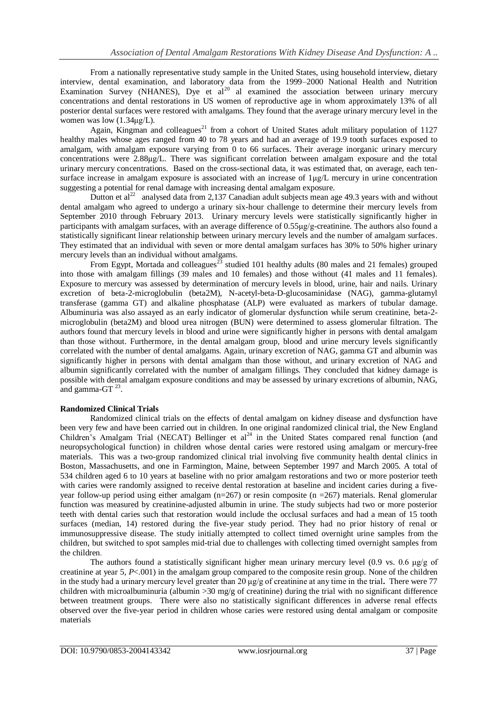From a nationally representative study sample in the United States, using household interview, dietary interview, dental examination, and laboratory data from the 1999–2000 National Health and Nutrition Examination Survey (NHANES), Dye et al<sup>20</sup> al examined the association between urinary mercury concentrations and dental restorations in US women of reproductive age in whom approximately 13% of all posterior dental surfaces were restored with amalgams. They found that the average urinary mercury level in the women was low (1.34μg/L).

Again, Kingman and colleagues<sup>21</sup> from a cohort of United States adult military population of 1127 healthy males whose ages ranged from 40 to 78 years and had an average of 19.9 tooth surfaces exposed to amalgam, with amalgam exposure varying from 0 to 66 surfaces. Their average inorganic urinary mercury concentrations were 2.88μg/L. There was significant correlation between amalgam exposure and the total urinary mercury concentrations. Based on the cross-sectional data, it was estimated that, on average, each tensurface increase in amalgam exposure is associated with an increase of  $1\mu g/L$  mercury in urine concentration suggesting a potential for renal damage with increasing dental amalgam exposure.

Dutton et  $al^{22}$  analysed data from 2,137 Canadian adult subjects mean age 49.3 years with and without dental amalgam who agreed to undergo a urinary six-hour challenge to determine their mercury levels from September 2010 through February 2013. Urinary mercury levels were statistically significantly higher in participants with amalgam surfaces, with an average difference of 0.55μg/g-creatinine. The authors also found a statistically significant linear relationship between urinary mercury levels and the number of amalgam surfaces. They estimated that an individual with seven or more dental amalgam surfaces has 30% to 50% higher urinary mercury levels than an individual without amalgams.

From Egypt, Mortada and colleagues<sup>23</sup> studied 101 healthy adults (80 males and 21 females) grouped into those with amalgam fillings (39 males and 10 females) and those without (41 males and 11 females). Exposure to mercury was assessed by determination of mercury levels in blood, urine, hair and nails. Urinary excretion of beta-2-microglobulin (beta2M), N-acetyl-beta-D-glucosaminidase (NAG), gamma-glutamyl transferase (gamma GT) and alkaline phosphatase (ALP) were evaluated as markers of tubular damage. Albuminuria was also assayed as an early indicator of glomerular dysfunction while serum creatinine, beta-2 microglobulin (beta2M) and blood urea nitrogen (BUN) were determined to assess glomerular filtration. The authors found that mercury levels in blood and urine were significantly higher in persons with dental amalgam than those without. Furthermore, in the dental amalgam group, blood and urine mercury levels significantly correlated with the number of dental amalgams. Again, urinary excretion of NAG, gamma GT and albumin was significantly higher in persons with dental amalgam than those without, and urinary excretion of NAG and albumin significantly correlated with the number of amalgam fillings. They concluded that kidney damage is possible with dental amalgam exposure conditions and may be assessed by urinary excretions of albumin, NAG, and gamma-GT $^{23}$ .

## **Randomized Clinical Trials**

Randomized clinical trials on the effects of dental amalgam on kidney disease and dysfunction have been very few and have been carried out in children. In one original randomized clinical trial, the New England Children's Amalgam Trial (NECAT) Bellinger et al<sup>24</sup> in the United States compared renal function (and neuropsychological function) in children whose dental caries were restored using amalgam or mercury-free materials. This was a two-group randomized clinical trial involving five community health dental clinics in Boston, Massachusetts, and one in Farmington, Maine, between September 1997 and March 2005. A total of 534 children aged 6 to 10 years at baseline with no prior amalgam restorations and two or more posterior teeth with caries were randomly assigned to receive dental restoration at baseline and incident caries during a fiveyear follow-up period using either amalgam  $(n=267)$  or resin composite  $(n=267)$  materials. Renal glomerular function was measured by creatinine-adjusted albumin in urine. The study subjects had two or more posterior teeth with dental caries such that restoration would include the occlusal surfaces and had a mean of 15 tooth surfaces (median, 14) restored during the five-year study period. They had no prior history of renal or immunosuppressive disease. The study initially attempted to collect timed overnight urine samples from the children, but switched to spot samples mid-trial due to challenges with collecting timed overnight samples from the children.

The authors found a statistically significant higher mean urinary mercury level (0.9 vs. 0.6  $\mu$ g/g of creatinine at year 5, *P*<.001) in the amalgam group compared to the composite resin group. None of the children in the study had a urinary mercury level greater than 20 μg/g of creatinine at any time in the trial**.** There were 77 children with microalbuminuria (albumin >30 mg/g of creatinine) during the trial with no significant difference between treatment groups. There were also no statistically significant differences in adverse renal effects observed over the five-year period in children whose caries were restored using dental amalgam or composite materials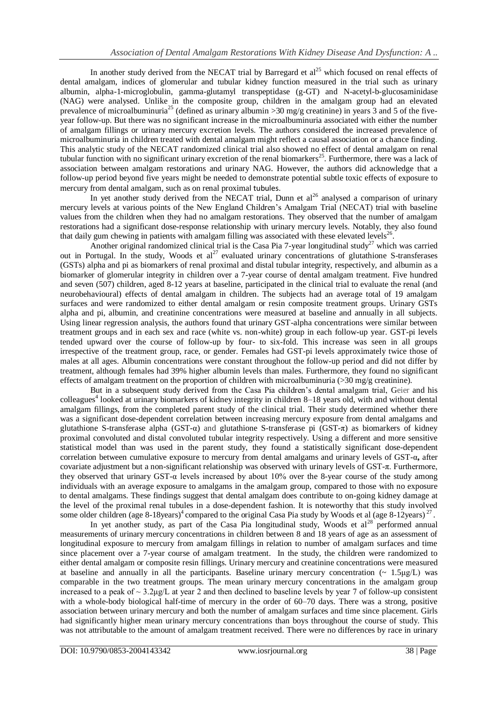In another study derived from the NECAT trial by Barregard et  $al^{25}$  which focused on renal effects of dental amalgam, indices of glomerular and tubular kidney function measured in the trial such as urinary albumin, alpha-1-microglobulin, gamma-glutamyl transpeptidase (g-GT) and N-acetyl-b-glucosaminidase (NAG) were analysed. Unlike in the composite group, children in the amalgam group had an elevated prevalence of microalbuminuria<sup>25</sup> (defined as urinary albumin >30 mg/g creatinine) in years 3 and 5 of the fiveyear follow-up. But there was no significant increase in the microalbuminuria associated with either the number of amalgam fillings or urinary mercury excretion levels. The authors considered the increased prevalence of microalbuminuria in children treated with dental amalgam might reflect a causal association or a chance finding. This analytic study of the NECAT randomized clinical trial also showed no effect of dental amalgam on renal tubular function with no significant urinary excretion of the renal biomarkers<sup>25</sup>. Furthermore, there was a lack of association between amalgam restorations and urinary NAG. However, the authors did acknowledge that a follow-up period beyond five years might be needed to demonstrate potential subtle toxic effects of exposure to mercury from dental amalgam, such as on renal proximal tubules.

In yet another study derived from the NECAT trial, Dunn et  $al^{26}$  analysed a comparison of urinary mercury levels at various points of the New England Children's Amalgam Trial (NECAT) trial with baseline values from the children when they had no amalgam restorations. They observed that the number of amalgam restorations had a significant dose-response relationship with urinary mercury levels. Notably, they also found that daily gum chewing in patients with amalgam filling was associated with these elevated levels<sup>26</sup>.

Another original randomized clinical trial is the Casa Pia 7-year longitudinal study<sup>27</sup> which was carried out in Portugal. In the study, Woods et al<sup>27</sup> evaluated urinary concentrations of glutathione S-transferases (GSTs) alpha and pi as biomarkers of renal proximal and distal tubular integrity, respectively, and albumin as a biomarker of glomerular integrity in children over a 7-year course of dental amalgam treatment. Five hundred and seven (507) children, aged 8-12 years at baseline, participated in the clinical trial to evaluate the renal (and neurobehavioural) effects of dental amalgam in children. The subjects had an average total of 19 amalgam surfaces and were randomized to either dental amalgam or resin composite treatment groups. Urinary GSTs alpha and pi, albumin, and creatinine concentrations were measured at baseline and annually in all subjects. Using linear regression analysis, the authors found that urinary GST-alpha concentrations were similar between treatment groups and in each sex and race (white vs. non-white) group in each follow-up year. GST-pi levels tended upward over the course of follow-up by four- to six-fold. This increase was seen in all groups irrespective of the treatment group, race, or gender. Females had GST-pi levels approximately twice those of males at all ages. Albumin concentrations were constant throughout the follow-up period and did not differ by treatment, although females had 39% higher albumin levels than males. Furthermore, they found no significant effects of amalgam treatment on the proportion of children with microalbuminuria  $(>30 \text{ mg/g} \text{ creationine}).$ 

But in a subsequent study derived from the Casa Pia children's dental amalgam trial, Geier and his colleagues<sup>4</sup> looked at urinary biomarkers of kidney integrity in children 8–18 years old, with and without dental amalgam fillings, from the completed parent study of the clinical trial. Their study determined whether there was a significant dose-dependent correlation between increasing mercury exposure from dental amalgams and glutathione S-transferase alpha (GST-α) and glutathione S-transferase pi (GST-π) as biomarkers of kidney proximal convoluted and distal convoluted tubular integrity respectively. Using a different and more sensitive statistical model than was used in the parent study, they found a statistically significant dose-dependent correlation between cumulative exposure to mercury from dental amalgams and urinary levels of GST-α**,** after covariate adjustment but a non-significant relationship was observed with urinary levels of GST-π. Furthermore, they observed that urinary GST-α levels increased by about 10% over the 8-year course of the study among individuals with an average exposure to amalgams in the amalgam group, compared to those with no exposure to dental amalgams. These findings suggest that dental amalgam does contribute to on-going kidney damage at the level of the proximal renal tubules in a dose-dependent fashion. It is noteworthy that this study involved some older children (age 8-18years)<sup>4</sup> compared to the original Casa Pia study by Woods et al (age 8-12years)<sup>27</sup>.

In yet another study, as part of the Casa Pia longitudinal study, Woods et al<sup>28</sup> performed annual measurements of urinary mercury concentrations in children between 8 and 18 years of age as an assessment of longitudinal exposure to mercury from amalgam fillings in relation to number of amalgam surfaces and time since placement over a 7-year course of amalgam treatment. In the study, the children were randomized to either dental amalgam or composite resin fillings. Urinary mercury and creatinine concentrations were measured at baseline and annually in all the participants. Baseline urinary mercury concentration  $\sim 1.5 \mu g/L$ ) was comparable in the two treatment groups. The mean urinary mercury concentrations in the amalgam group increased to a peak of  $\sim 3.2 \mu g/L$  at year 2 and then declined to baseline levels by year 7 of follow-up consistent with a whole-body biological half-time of mercury in the order of 60–70 days. There was a strong, positive association between urinary mercury and both the number of amalgam surfaces and time since placement. Girls had significantly higher mean urinary mercury concentrations than boys throughout the course of study. This was not attributable to the amount of amalgam treatment received. There were no differences by race in urinary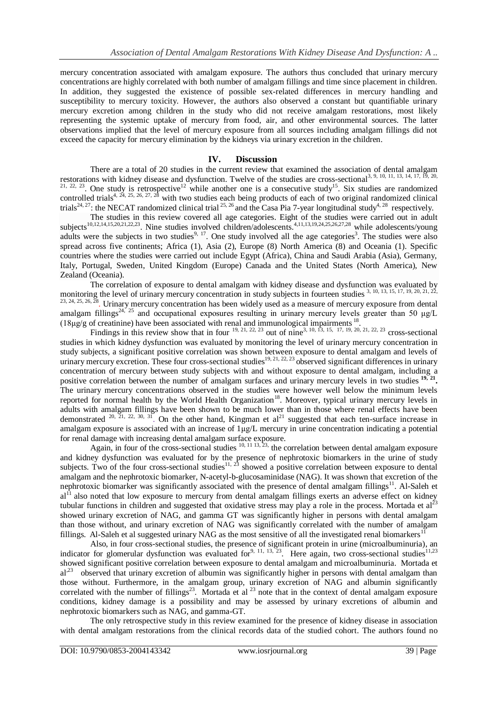mercury concentration associated with amalgam exposure. The authors thus concluded that urinary mercury concentrations are highly correlated with both number of amalgam fillings and time since placement in children. In addition, they suggested the existence of possible sex-related differences in mercury handling and susceptibility to mercury toxicity. However, the authors also observed a constant but quantifiable urinary mercury excretion among children in the study who did not receive amalgam restorations, most likely representing the systemic uptake of mercury from food, air, and other environmental sources. The latter observations implied that the level of mercury exposure from all sources including amalgam fillings did not exceed the capacity for mercury elimination by the kidneys via urinary excretion in the children.

#### **IV. Discussion**

There are a total of 20 studies in the current review that examined the association of dental amalgam restorations with kidney disease and dysfunction. Twelve of the studies are cross-sectional<sup>3, 9, 10, 11, 13, 14, 17, 19, 20,</sup>  $21, 22, 23$ . One study is retrospective<sup>12</sup> while another one is a consecutive study<sup>15</sup>. Six studies are randomized controlled trials<sup>4, 24, 25, 26, 27, 28</sup> with two studies each being products of each of two original randomized clinical trials<sup>24, 27</sup>: the NECAT randomized clinical trial <sup>25, 26</sup> and the Casa Pia 7-year longitudinal study<sup>4, 28</sup> respectively.

The studies in this review covered all age categories. Eight of the studies were carried out in adult subjects<sup>10,12,14,15,20,21,22,23</sup>. Nine studies involved children/adolescents.<sup>4,11,13,19,24,25,26,27,28</sup> while adolescents/young adults were the subjects in two studies<sup>9, 17</sup>. One study involved all the age categories<sup>3</sup>. The studies were also spread across five continents; Africa (1), Asia (2), Europe (8) North America (8) and Oceania (1). Specific countries where the studies were carried out include Egypt (Africa), China and Saudi Arabia (Asia), Germany, Italy, Portugal, Sweden, United Kingdom (Europe) Canada and the United States (North America), New Zealand (Oceania).

The correlation of exposure to dental amalgam with kidney disease and dysfunction was evaluated by monitoring the level of urinary mercury concentration in study subjects in fourteen studies 3, 10, 13, 15, 17, 19, 20, 21,  $23, 24, 25, 26, 28$ . Urinary mercury concentration has been widely used as a measure of mercury exposure from dental amalgam fillings<sup>24, 25</sup> and occupational exposures resulting in urinary mercury levels greater than 50  $\mu$ g/L ( $18\mu$ g/g of creatinine) have been associated with renal and immunological impairments  $^{18}$ .

Findings in this review show that in four  $^{19, 21, 22, 23}$  out of nine<sup>3, 10, 13, 15, 17, 19, 20, 21, 22, 23</sup> cross-sectional studies in which kidney dysfunction was evaluated by monitoring the level of urinary mercury concentration in study subjects, a significant positive correlation was shown between exposure to dental amalgam and levels of urinary mercury excretion. These four cross-sectional studies<sup>19, 21, 22, 23</sup> observed significant differences in urinary concentration of mercury between study subjects with and without exposure to dental amalgam, including a positive correlation between the number of amalgam surfaces and urinary mercury levels in two studies <sup>19, 21</sup>. The urinary mercury concentrations observed in the studies were however well below the minimum levels reported for normal health by the World Health Organization<sup>18</sup>. Moreover, typical urinary mercury levels in adults with amalgam fillings have been shown to be much lower than in those where renal effects have been demonstrated  $20, \overline{21}, 22, 30, 3\overline{1}$ . On the other hand, Kingman et al<sup>21</sup> suggested that each ten-surface increase in amalgam exposure is associated with an increase of 1μg/L mercury in urine concentration indicating a potential for renal damage with increasing dental amalgam surface exposure.

Again, in four of the cross-sectional studies  $10, 11, 13, 23$ , the correlation between dental amalgam exposure and kidney dysfunction was evaluated for by the presence of nephrotoxic biomarkers in the urine of study subjects. Two of the four cross-sectional studies<sup>11, 23</sup> showed a positive correlation between exposure to dental amalgam and the nephrotoxic biomarker, N-acetyl-b-glucosaminidase (NAG). It was shown that excretion of the nephrotoxic biomarker was significantly associated with the presence of dental amalgam fillings<sup>11</sup>. Al-Saleh et al<sup>11</sup> also noted that low exposure to mercury from dental amalgam fillings exerts an adverse effect on kidney tubular functions in children and suggested that oxidative stress may play a role in the process. Mortada et  $al^{23}$ showed urinary excretion of NAG, and gamma GT was significantly higher in persons with dental amalgam than those without, and urinary excretion of NAG was significantly correlated with the number of amalgam fillings. Al-Saleh et al suggested urinary NAG as the most sensitive of all the investigated renal biomarkers<sup>1</sup>

Also, in four cross-sectional studies, the presence of significant protein in urine (microalbuminuria), an indicator for glomerular dysfunction was evaluated for<sup>9, 11, 13, 23</sup>. Here again, two cross-sectional studies<sup>11,23</sup> showed significant positive correlation between exposure to dental amalgam and microalbuminuria. Mortada et al<sup>23</sup> observed that urinary excretion of albumin was significantly higher in persons with dental amalgam than those without. Furthermore, in the amalgam group, urinary excretion of NAG and albumin significantly correlated with the number of fillings<sup>23</sup>. Mortada et al  $^{23}$  note that in the context of dental amalgam exposure conditions, kidney damage is a possibility and may be assessed by urinary excretions of albumin and nephrotoxic biomarkers such as NAG, and gamma-GT.

The only retrospective study in this review examined for the presence of kidney disease in association with dental amalgam restorations from the clinical records data of the studied cohort. The authors found no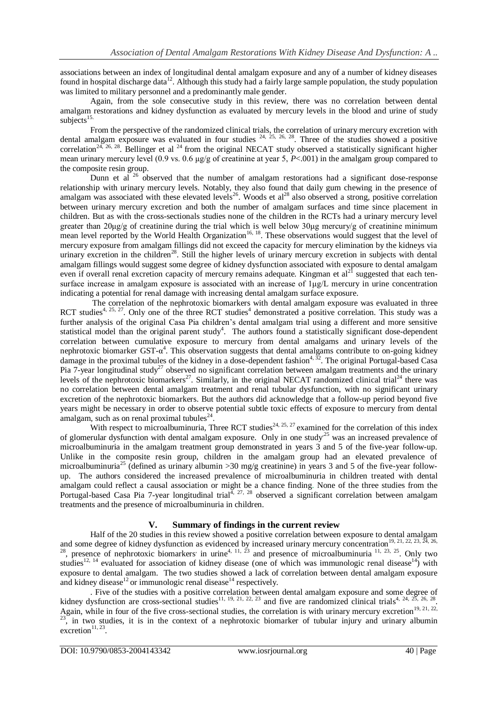associations between an index of longitudinal dental amalgam exposure and any of a number of kidney diseases found in hospital discharge data<sup>12</sup>. Although this study had a fairly large sample population, the study population was limited to military personnel and a predominantly male gender.

Again, from the sole consecutive study in this review, there was no correlation between dental amalgam restorations and kidney dysfunction as evaluated by mercury levels in the blood and urine of study subjects $15$ .

From the perspective of the randomized clinical trials, the correlation of urinary mercury excretion with dental amalgam exposure was evaluated in four studies  $24$ ,  $25$ ,  $26$ ,  $28$ . Three of the studies showed a positive correlation<sup>24, 26, 28</sup>. Bellinger et al <sup>24</sup> from the original NECAT study observed a statistically significant higher mean urinary mercury level (0.9 vs. 0.6 μg/g of creatinine at year 5, *P*<.001) in the amalgam group compared to the composite resin group.

Dunn et al  $^{26}$  observed that the number of amalgam restorations had a significant dose-response relationship with urinary mercury levels. Notably, they also found that daily gum chewing in the presence of amalgam was associated with these elevated levels<sup>26</sup>. Woods et al<sup>28</sup> also observed a strong, positive correlation between urinary mercury excretion and both the number of amalgam surfaces and time since placement in children. But as with the cross-sectionals studies none of the children in the RCTs had a urinary mercury level greater than 20μg/g of creatinine during the trial which is well below 30μg mercury/g of creatinine minimum mean level reported by the World Health Organization<sup>16, 18</sup>. These observations would suggest that the level of mercury exposure from amalgam fillings did not exceed the capacity for mercury elimination by the kidneys via urinary excretion in the children<sup>28</sup>. Still the higher levels of urinary mercury excretion in subjects with dental amalgam fillings would suggest some degree of kidney dysfunction associated with exposure to dental amalgam even if overall renal excretion capacity of mercury remains adequate. Kingman et  $al<sup>21</sup>$  suggested that each tensurface increase in amalgam exposure is associated with an increase of  $1\mu g/L$  mercury in urine concentration indicating a potential for renal damage with increasing dental amalgam surface exposure.

The correlation of the nephrotoxic biomarkers with dental amalgam exposure was evaluated in three RCT studies<sup>4, 25, 27</sup>. Only one of the three RCT studies<sup>4</sup> demonstrated a positive correlation. This study was a further analysis of the original Casa Pia children's dental amalgam trial using a different and more sensitive statistical model than the original parent study<sup>4</sup>. The authors found a statistically significant dose-dependent correlation between cumulative exposure to mercury from dental amalgams and urinary levels of the nephrotoxic biomarker GST- $\alpha^4$ . This observation suggests that dental amalgams contribute to on-going kidney damage in the proximal tubules of the kidney in a dose-dependent fashion<sup>4, 32</sup>. The original Portugal-based Casa Pia 7-year longitudinal study<sup>27</sup> observed no significant correlation between amalgam treatments and the urinary levels of the nephrotoxic biomarkers<sup>27</sup>. Similarly, in the original NECAT randomized clinical trial<sup>24</sup> there was no correlation between dental amalgam treatment and renal tubular dysfunction, with no significant urinary excretion of the nephrotoxic biomarkers. But the authors did acknowledge that a follow-up period beyond five years might be necessary in order to observe potential subtle toxic effects of exposure to mercury from dental amalgam, such as on renal proximal tubules $^{24}$ .

With respect to microalbuminuria, Three RCT studies<sup>24, 25, 27</sup> examined for the correlation of this index of glomerular dysfunction with dental amalgam exposure. Only in one study<sup>25</sup> was an increased prevalence of microalbuminuria in the amalgam treatment group demonstrated in years 3 and 5 of the five-year follow-up. Unlike in the composite resin group, children in the amalgam group had an elevated prevalence of microalbuminuria<sup>25</sup> (defined as urinary albumin  $>$ 30 mg/g creatinine) in years 3 and 5 of the five-year followup. The authors considered the increased prevalence of microalbuminuria in children treated with dental amalgam could reflect a causal association or might be a chance finding. None of the three studies from the Portugal-based Casa Pia 7-year longitudinal trial $^{4, 27, 28}$  observed a significant correlation between amalgam treatments and the presence of microalbuminuria in children.

## **V. Summary of findings in the current review**

Half of the 20 studies in this review showed a positive correlation between exposure to dental amalgam and some degree of kidney dysfunction as evidenced by increased urinary mercury concentration<sup>19, 21, 22, 23,  $\bar{24}$ , 26,</sup> <sup>28</sup>, presence of nephrotoxic biomarkers' in urine<sup>4, 11, 23</sup> and presence of microalbuminuria <sup>11, 23, 25</sup>. Only two studies<sup>12, 14</sup> evaluated for association of kidney disease (one of which was immunologic renal disease<sup>14</sup>) with exposure to dental amalgam. The two studies showed a lack of correlation between dental amalgam exposure and kidney disease<sup>12</sup> or immunologic renal disease<sup>14</sup> respectively.

. Five of the studies with a positive correlation between dental amalgam exposure and some degree of kidney dysfunction are cross-sectional studies<sup>11, 19, 21, 22, 23</sup> and five are randomized clinical trials<sup>4, 24, 25, 26, 28</sup>. Again, while in four of the five cross-sectional studies, the correlation is with urinary mercury excretion<sup>19, 21, 22,</sup>  $23$ , in two studies, it is in the context of a nephrotoxic biomarker of tubular injury and urinary albumin  $excretion<sup>11, 23</sup>$ .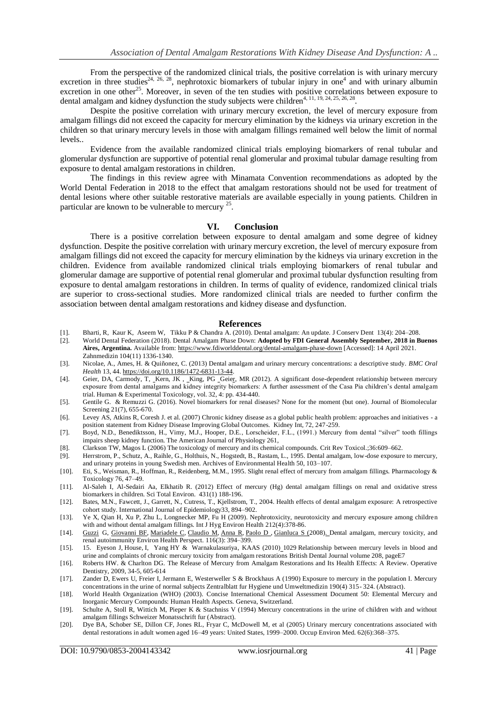From the perspective of the randomized clinical trials, the positive correlation is with urinary mercury excretion in three studies<sup>24, 26, 28</sup>, nephrotoxic biomarkers of tubular injury in one<sup>4</sup> and with urinary albumin excretion in one other<sup>25</sup>. Moreover, in seven of the ten studies with positive correlations between exposure to dental amalgam and kidney dysfunction the study subjects were children<sup>4, 11, 19, 24, 25, 26, 28</sup>.

Despite the positive correlation with urinary mercury excretion, the level of mercury exposure from amalgam fillings did not exceed the capacity for mercury elimination by the kidneys via urinary excretion in the children so that urinary mercury levels in those with amalgam fillings remained well below the limit of normal levels..

Evidence from the available randomized clinical trials employing biomarkers of renal tubular and glomerular dysfunction are supportive of potential renal glomerular and proximal tubular damage resulting from exposure to dental amalgam restorations in children.

The findings in this review agree with Minamata Convention recommendations as adopted by the World Dental Federation in 2018 to the effect that amalgam restorations should not be used for treatment of dental lesions where other suitable restorative materials are available especially in young patients. Children in particular are known to be vulnerable to mercury  $2^5$ .

#### **VI. Conclusion**

There is a positive correlation between exposure to dental amalgam and some degree of kidney dysfunction. Despite the positive correlation with urinary mercury excretion, the level of mercury exposure from amalgam fillings did not exceed the capacity for mercury elimination by the kidneys via urinary excretion in the children. Evidence from available randomized clinical trials employing biomarkers of renal tubular and glomerular damage are supportive of potential renal glomerular and proximal tubular dysfunction resulting from exposure to dental amalgam restorations in children. In terms of quality of evidence, randomized clinical trials are superior to cross-sectional studies. More randomized clinical trials are needed to further confirm the association between dental amalgam restorations and kidney disease and dysfunction.

#### **References**

- [1]. [Bharti,](https://www.ncbi.nlm.nih.gov/pubmed/?term=Bharti%20R%5BAuthor%5D&cauthor=true&cauthor_uid=21217947) R[, Kaur](https://www.ncbi.nlm.nih.gov/pubmed/?term=Wadhwani%20KK%5BAuthor%5D&cauthor=true&cauthor_uid=21217947) K, Aseem [W, Tikku](https://www.ncbi.nlm.nih.gov/pubmed/?term=Tikku%20AP%5BAuthor%5D&cauthor=true&cauthor_uid=21217947) P & [Chandra](https://www.ncbi.nlm.nih.gov/pubmed/?term=Chandra%20A%5BAuthor%5D&cauthor=true&cauthor_uid=21217947) A. (2010). Dental amalgam: An update. [J Conserv Dent](https://www.ncbi.nlm.nih.gov/pmc/articles/PMC3010024/) 13(4): 204–208.<br>[2]. World Dental Federation (2018). Dental Amalgam Phase Down: Adopted by FDI General Assembly Septem
- [2]. World Dental Federation (2018). Dental Amalgam Phase Down: **Adopted by FDI General Assembly September, 2018 in Buenos Aires, Argentina.** Available from[: https://www.fdiworlddental.org/dental-amalgam-phase-down](https://www.fdiworlddental.org/dental-amalgam-phase-down) [Accessed]: 14 April 2021. Zahnmedizin 104(11) 1336-1340.
- [3]. Nicolae, A., Ames, H. & Quiñonez, C. (2013) Dental amalgam and urinary mercury concentrations: a descriptive study. *BMC Oral Health* 13, 44[. https://doi.org/10.1186/1472-6831-13-44.](https://doi.org/10.1186/1472-6831-13-44)
- [4]. Geier, DA, Carmody, T, Kern, JK , King, PG Geier, MR (2012). [A significant dose-dependent relationship between mercury](https://journals.sagepub.com/doi/full/10.1177/0960327112455671)  [exposure from dental amalgams and kidney integrity biomarkers: A further assessment of the Casa Pia children's dental amalgam](https://journals.sagepub.com/doi/full/10.1177/0960327112455671)  [trial.](https://journals.sagepub.com/doi/full/10.1177/0960327112455671) Human & Experimental Toxicology, vol. 32, 4: pp. 434-440.
- [5]. Gentile G. & Remuzzi G. (2016). Novel biomarkers for renal diseases? None for the moment (but one). Journal of Biomolecular Screening 21(7), 655-670.
- [6]. Levey AS, Atkins R, Coresh J. et al. (2007) Chronic kidney disease as a global public health problem: approaches and initiatives a position statement from Kidney Disease Improving Global Outcomes. Kidney Int, 72, 247-259.
- [7]. Boyd, N.D., Benediktsson, H., Vimy, M.J., Hooper, D.E., Lorscheider, F.L., (1991.) Mercury from dental "silver" tooth fillings impairs sheep kidney function. The American Journal of Physiology 261,
- [8]. Clarkson TW, Magos L (2006) The toxicology of mercury and its chemical compounds. Crit Rev Toxicol.;36:609–662.
- [9]. Herrstrom, P., Schutz, A., Raihle, G., Holthuis, N., Hogstedt, B., Rastam, L., 1995. Dental amalgam, low-dose exposure to mercury, and urinary proteins in young Swedish men. Archives of Environmental Health 50, 103–107.
- [10]. Eti, S., Weisman, R., Hoffman, R., Reidenberg, M.M., 1995. Slight renal effect of mercury from amalgam fillings. Pharmacology & Toxicology 76, 47–49.
- [11]. Al-Saleh I, Al-Sedairi Aa, Elkhatib R. (2012) Effect of mercury (Hg) dental amalgam fillings on renal and oxidative stress biomarkers in children. Sci Total Environ[. 431\(](https://www.sciencedirect.com/science/journal/00489697/431/supp/C)1) 188-196.
- [12]. Bates, M.N., Fawcett, J., Garrett, N., Cutress, T., Kjellstrom, T., 2004. Health effects of dental amalgam exposure: A retrospective cohort study. International Journal of Epidemiology33, 894–902.
- [13]. Ye X, Qian H, Xu P, Zhu L, Longnecker MP, Fu H (2009). Nephrotoxicity, neurotoxicity and mercury exposure among children with and without dental amalgam fillings. Int J Hyg Environ Health 212(4):378-86.
- [14]. [Guzzi](https://pubmed.ncbi.nlm.nih.gov/?term=Guzzi+G&cauthor_id=18540850) G, [Giovanni BF,](https://pubmed.ncbi.nlm.nih.gov/?term=Fogazzi+GB&cauthor_id=18540850) [Mariadele C,](https://pubmed.ncbi.nlm.nih.gov/?term=Cant%C3%B9+M&cauthor_id=18540850) [Claudio M,](https://pubmed.ncbi.nlm.nih.gov/?term=Minoia+C&cauthor_id=18540850) [Anna R,](https://pubmed.ncbi.nlm.nih.gov/?term=Ronchi+A&cauthor_id=18540850) [Paolo D ,](https://pubmed.ncbi.nlm.nih.gov/?term=Pigatto+PD&cauthor_id=18540850) Gianluca S (2008). Dental amalgam, mercury toxicity, and renal autoimmunity Environ Health Perspect. 116(3): 394–399.
- [15]. 15. [Eyeson](https://www.nature.com/articles/sj.bdj.2010.181#auth-J_-Eyeson) J, [House,](https://www.nature.com/articles/sj.bdj.2010.181#auth-I_-House) I, [Yang](https://www.nature.com/articles/sj.bdj.2010.181#auth-Y__H_-Yang) HY & [Warnakulasuriya,](https://www.nature.com/articles/sj.bdj.2010.181#auth-K__A__A__S_-Warnakulasuriya) KAAS (2010) 1029 Relationship between mercury levels in blood and urine and complaints of chronic mercury toxicity from amalgam restorations [British Dental Journal](https://www.nature.com/bdj) volume 208, pageE7
- [16]. Roberts HW. & Charlton DG. The Release of Mercury from Amalgam Restorations and Its Health Effects: A Review. Operative Dentistry, 2009, 34-5, 605-614
- [17]. Zander D, Ewers U, Freier I, Jermann E, Westerweller S & Brockhaus A (1990) Exposure to mercury in the population I. Mercury concentrations in the urine of normal subjects Zentralblatt fur Hygiene und Umweltmedizin 190(4) 315- 324. (Abstract).
- [18]. World Health Organization (WHO) (2003). Concise International Chemical Assessment Document 50: Elemental Mercury and Inorganic Mercury Compounds: Human Health Aspects. Geneva, Switzerland.
- [19]. Schulte A, Stoll R, Wittich M, Pieper K & Stachniss V (1994) Mercury concentrations in the urine of children with and without amalgam fillings Schweizer Monatsschrift fur (Abstract).
- [20]. Dye BA, Schober SE, Dillon CF, Jones RL, Fryar C, McDowell M, et al (2005) Urinary mercury concentrations associated with dental restorations in adult women aged 16–49 years: United States, 1999–2000. Occup Environ Med. 62(6):368–375.